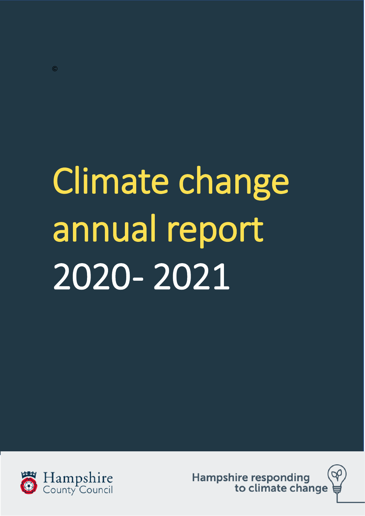# Climate change annual report 2020 - 2021



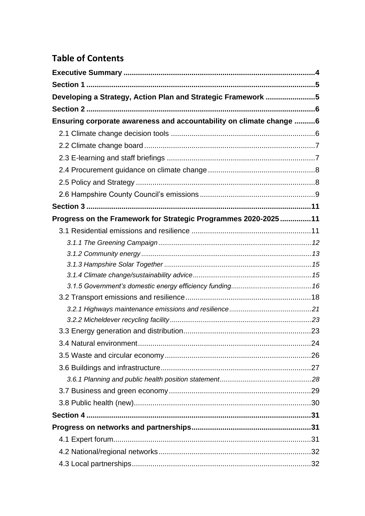# **Table of Contents**

| Developing a Strategy, Action Plan and Strategic Framework 5        |  |
|---------------------------------------------------------------------|--|
|                                                                     |  |
| Ensuring corporate awareness and accountability on climate change 6 |  |
|                                                                     |  |
|                                                                     |  |
|                                                                     |  |
|                                                                     |  |
|                                                                     |  |
|                                                                     |  |
|                                                                     |  |
| Progress on the Framework for Strategic Programmes 2020-202511      |  |
|                                                                     |  |
|                                                                     |  |
|                                                                     |  |
|                                                                     |  |
|                                                                     |  |
|                                                                     |  |
|                                                                     |  |
|                                                                     |  |
|                                                                     |  |
|                                                                     |  |
|                                                                     |  |
|                                                                     |  |
|                                                                     |  |
|                                                                     |  |
|                                                                     |  |
|                                                                     |  |
|                                                                     |  |
|                                                                     |  |
|                                                                     |  |
|                                                                     |  |
|                                                                     |  |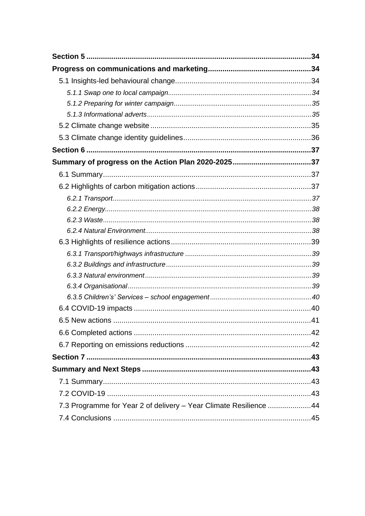| 7.3 Programme for Year 2 of delivery - Year Climate Resilience 44 |  |
|-------------------------------------------------------------------|--|
|                                                                   |  |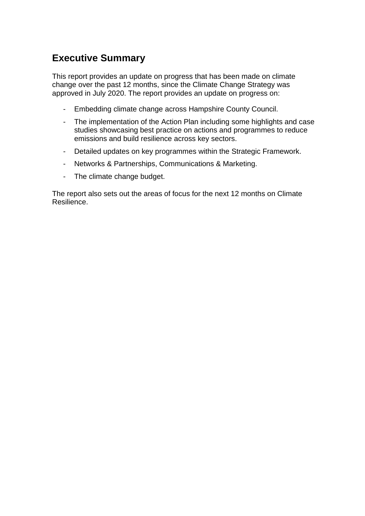# <span id="page-3-0"></span>**Executive Summary**

This report provides an update on progress that has been made on climate change over the past 12 months, since the Climate Change Strategy was approved in July 2020. The report provides an update on progress on:

- Embedding climate change across Hampshire County Council.
- The implementation of the Action Plan including some highlights and case studies showcasing best practice on actions and programmes to reduce emissions and build resilience across key sectors.
- Detailed updates on key programmes within the Strategic Framework.
- Networks & Partnerships, Communications & Marketing.
- The climate change budget.

The report also sets out the areas of focus for the next 12 months on Climate Resilience.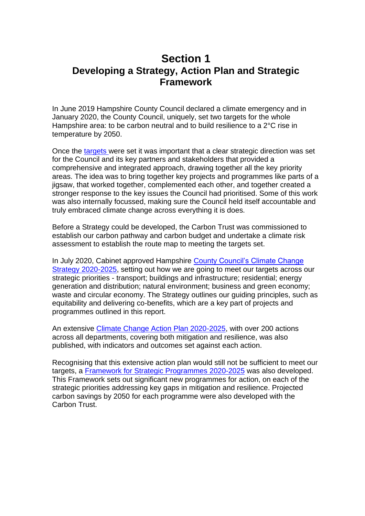# <span id="page-4-1"></span><span id="page-4-0"></span>**Section 1 Developing a Strategy, Action Plan and Strategic Framework**

In June 2019 Hampshire County Council declared a climate emergency and in January 2020, the County Council, uniquely, set two targets for the whole Hampshire area: to be carbon neutral and to build resilience to a 2°C rise in temperature by 2050.

Once the [targets w](https://www.hants.gov.uk/landplanningandenvironment/environment/climatechange/whatarewedoing/projects)ere set it was important that a clear strategic direction was set for the Council and its key partners and stakeholders that provided a comprehensive and integrated approach, drawing together all the key priority areas. The idea was to bring together key projects and programmes like parts of a jigsaw, that worked together, complemented each other, and together created a stronger response to the key issues the Council had prioritised. Some of this work was also internally focussed, making sure the Council held itself accountable and truly embraced climate change across everything it is does.

Before a Strategy could be developed, the Carbon Trust was commissioned to establish our carbon pathway and carbon budget and undertake a climate risk assessment to establish the route map to meeting the targets set.

In July 2020, Cabinet approved Hampshire County [Council's Climate Change](https://documents.hants.gov.uk/environment/Hampshire-Climate-Change-strategy-2020-2025.pdf)  [Strategy 2020-2025,](https://documents.hants.gov.uk/environment/Hampshire-Climate-Change-strategy-2020-2025.pdf) setting out how we are going to meet our targets across our strategic priorities - transport; buildings and infrastructure; residential; energy generation and distribution; natural environment; business and green economy; waste and circular economy. The Strategy outlines our guiding principles, such as equitability and delivering co-benefits, which are a key part of projects and programmes outlined in this report.

An extensive [Climate Change Action Plan 2020-2025,](https://documents.hants.gov.uk/climate-change/Climate-Change-Action-Plan-2020-2025.pdf) with over 200 actions across all departments, covering both mitigation and resilience, was also published, with indicators and outcomes set against each action.

Recognising that this extensive action plan would still not be sufficient to meet our targets, a [Framework for Strategic Programmes](https://www.hants.gov.uk/landplanningandenvironment/environment/climatechange/whatarewedoing/strategicpriorities#strategic-framework) 2020-2025 was also developed. This Framework sets out significant new programmes for action, on each of the strategic priorities addressing key gaps in mitigation and resilience. Projected carbon savings by 2050 for each programme were also developed with the Carbon Trust.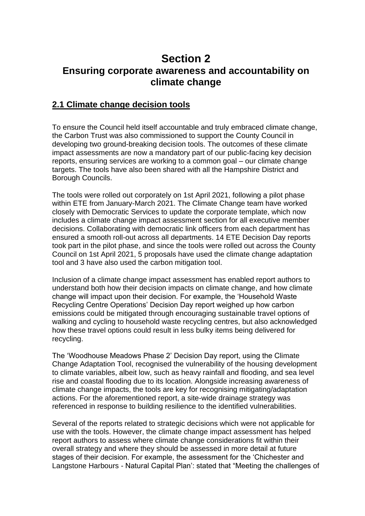# <span id="page-5-1"></span><span id="page-5-0"></span>**Section 2 Ensuring corporate awareness and accountability on climate change**

#### <span id="page-5-2"></span>**2.1 Climate change decision tools**

To ensure the Council held itself accountable and truly embraced climate change, the Carbon Trust was also commissioned to support the County Council in developing two ground-breaking decision tools. The outcomes of these climate impact assessments are now a mandatory part of our public-facing key decision reports, ensuring services are working to a common goal – our climate change targets. The tools have also been shared with all the Hampshire District and Borough Councils.

The tools were rolled out corporately on 1st April 2021, following a pilot phase within ETE from January-March 2021. The Climate Change team have worked closely with Democratic Services to update the corporate template, which now includes a climate change impact assessment section for all executive member decisions. Collaborating with democratic link officers from each department has ensured a smooth roll-out across all departments. 14 ETE Decision Day reports took part in the pilot phase, and since the tools were rolled out across the County Council on 1st April 2021, 5 proposals have used the climate change adaptation tool and 3 have also used the carbon mitigation tool.

Inclusion of a climate change impact assessment has enabled report authors to understand both how their decision impacts on climate change, and how climate change will impact upon their decision. For example, the 'Household Waste Recycling Centre Operations' Decision Day report weighed up how carbon emissions could be mitigated through encouraging sustainable travel options of walking and cycling to household waste recycling centres, but also acknowledged how these travel options could result in less bulky items being delivered for recycling.

The 'Woodhouse Meadows Phase 2' Decision Day report, using the Climate Change Adaptation Tool, recognised the vulnerability of the housing development to climate variables, albeit low, such as heavy rainfall and flooding, and sea level rise and coastal flooding due to its location. Alongside increasing awareness of climate change impacts, the tools are key for recognising mitigating/adaptation actions. For the aforementioned report, a site-wide drainage strategy was referenced in response to building resilience to the identified vulnerabilities.

Several of the reports related to strategic decisions which were not applicable for use with the tools. However, the climate change impact assessment has helped report authors to assess where climate change considerations fit within their overall strategy and where they should be assessed in more detail at future stages of their decision. For example, the assessment for the 'Chichester and Langstone Harbours - Natural Capital Plan': stated that "Meeting the challenges of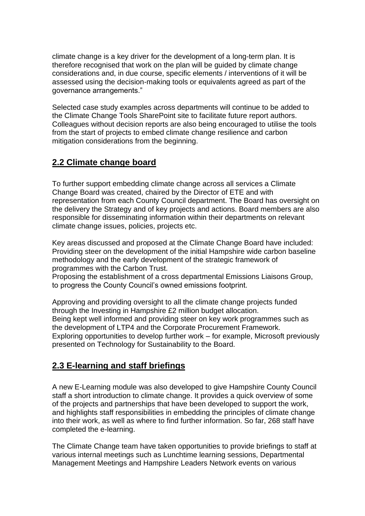climate change is a key driver for the development of a long-term plan. It is therefore recognised that work on the plan will be guided by climate change considerations and, in due course, specific elements / interventions of it will be assessed using the decision-making tools or equivalents agreed as part of the governance arrangements."

Selected case study examples across departments will continue to be added to the Climate Change Tools SharePoint site to facilitate future report authors. Colleagues without decision reports are also being encouraged to utilise the tools from the start of projects to embed climate change resilience and carbon mitigation considerations from the beginning.

## <span id="page-6-0"></span>**2.2 Climate change board**

To further support embedding climate change across all services a Climate Change Board was created, chaired by the Director of ETE and with representation from each County Council department. The Board has oversight on the delivery the Strategy and of key projects and actions. Board members are also responsible for disseminating information within their departments on relevant climate change issues, policies, projects etc.

Key areas discussed and proposed at the Climate Change Board have included: Providing steer on the development of the initial Hampshire wide carbon baseline methodology and the early development of the strategic framework of programmes with the Carbon Trust.

Proposing the establishment of a cross departmental Emissions Liaisons Group, to progress the County Council's owned emissions footprint.

Approving and providing oversight to all the climate change projects funded through the Investing in Hampshire £2 million budget allocation. Being kept well informed and providing steer on key work programmes such as the development of LTP4 and the Corporate Procurement Framework. Exploring opportunities to develop further work – for example, Microsoft previously presented on Technology for Sustainability to the Board.

# <span id="page-6-1"></span>**2.3 E-learning and staff briefings**

A new E-Learning module was also developed to give Hampshire County Council staff a short introduction to climate change. It provides a quick overview of some of the projects and partnerships that have been developed to support the work, and highlights staff responsibilities in embedding the principles of climate change into their work, as well as where to find further information. So far, 268 staff have completed the e-learning.

The Climate Change team have taken opportunities to provide briefings to staff at various internal meetings such as Lunchtime learning sessions, Departmental Management Meetings and Hampshire Leaders Network events on various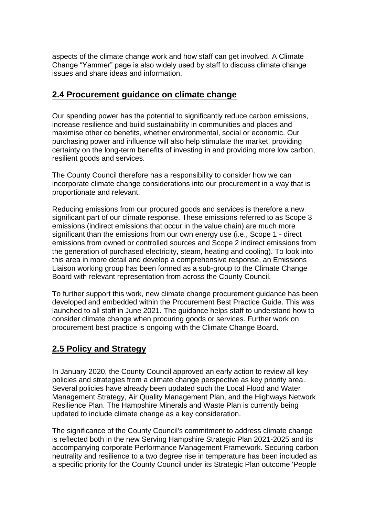aspects of the climate change work and how staff can get involved. A Climate Change "Yammer" page is also widely used by staff to discuss climate change issues and share ideas and information.

#### <span id="page-7-0"></span>**2.4 Procurement guidance on climate change**

Our spending power has the potential to significantly reduce carbon emissions, increase resilience and build sustainability in communities and places and maximise other co benefits, whether environmental, social or economic. Our purchasing power and influence will also help stimulate the market, providing certainty on the long-term benefits of investing in and providing more low carbon, resilient goods and services.

The County Council therefore has a responsibility to consider how we can incorporate climate change considerations into our procurement in a way that is proportionate and relevant.

Reducing emissions from our procured goods and services is therefore a new significant part of our climate response. These emissions referred to as Scope 3 emissions (indirect emissions that occur in the value chain) are much more significant than the emissions from our own energy use (i.e., Scope 1 - direct emissions from owned or controlled sources and Scope 2 indirect emissions from the generation of purchased electricity, steam, heating and cooling). To look into this area in more detail and develop a comprehensive response, an Emissions Liaison working group has been formed as a sub-group to the Climate Change Board with relevant representation from across the County Council.

To further support this work, new climate change procurement guidance has been developed and embedded within the Procurement Best Practice Guide. This was launched to all staff in June 2021. The guidance helps staff to understand how to consider climate change when procuring goods or services. Further work on procurement best practice is ongoing with the Climate Change Board.

# <span id="page-7-1"></span>**2.5 Policy and Strategy**

In January 2020, the County Council approved an early action to review all key policies and strategies from a climate change perspective as key priority area. Several policies have already been updated such the Local Flood and Water Management Strategy, Air Quality Management Plan, and the Highways Network Resilience Plan. The Hampshire Minerals and Waste Plan is currently being updated to include climate change as a key consideration.

The significance of the County Council's commitment to address climate change is reflected both in the new Serving Hampshire Strategic Plan 2021-2025 and its accompanying corporate Performance Management Framework. Securing carbon neutrality and resilience to a two degree rise in temperature has been included as a specific priority for the County Council under its Strategic Plan outcome 'People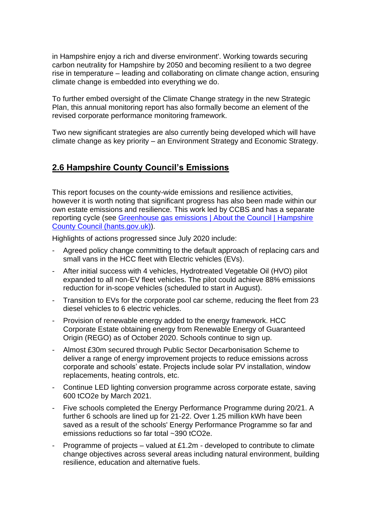in Hampshire enjoy a rich and diverse environment'. Working towards securing carbon neutrality for Hampshire by 2050 and becoming resilient to a two degree rise in temperature – leading and collaborating on climate change action, ensuring climate change is embedded into everything we do.

To further embed oversight of the Climate Change strategy in the new Strategic Plan, this annual monitoring report has also formally become an element of the revised corporate performance monitoring framework.

Two new significant strategies are also currently being developed which will have climate change as key priority – an Environment Strategy and Economic Strategy.

## <span id="page-8-0"></span>**2.6 Hampshire County Council's Emissions**

This report focuses on the county-wide emissions and resilience activities, however it is worth noting that significant progress has also been made within our own estate emissions and resilience. This work led by CCBS and has a separate reporting cycle (see Greenhouse gas emissions | About the Council | Hampshire [County Council \(hants.gov.uk\)\)](https://www.hants.gov.uk/aboutthecouncil/carbon-reduction/emissions-report).

Highlights of actions progressed since July 2020 include:

- Agreed policy change committing to the default approach of replacing cars and small vans in the HCC fleet with Electric vehicles (EVs).
- After initial success with 4 vehicles, Hydrotreated Vegetable Oil (HVO) pilot expanded to all non-EV fleet vehicles. The pilot could achieve 88% emissions reduction for in-scope vehicles (scheduled to start in August).
- Transition to EVs for the corporate pool car scheme, reducing the fleet from 23 diesel vehicles to 6 electric vehicles.
- Provision of renewable energy added to the energy framework. HCC Corporate Estate obtaining energy from Renewable Energy of Guaranteed Origin (REGO) as of October 2020. Schools continue to sign up.
- Almost £30m secured through Public Sector Decarbonisation Scheme to deliver a range of energy improvement projects to reduce emissions across corporate and schools' estate. Projects include solar PV installation, window replacements, heating controls, etc.
- Continue LED lighting conversion programme across corporate estate, saving 600 tCO2e by March 2021.
- Five schools completed the Energy Performance Programme during 20/21. A further 6 schools are lined up for 21-22. Over 1.25 million kWh have been saved as a result of the schools' Energy Performance Programme so far and emissions reductions so far total ~390 tCO2e.
- Programme of projects valued at £1.2m developed to contribute to climate change objectives across several areas including natural environment, building resilience, education and alternative fuels.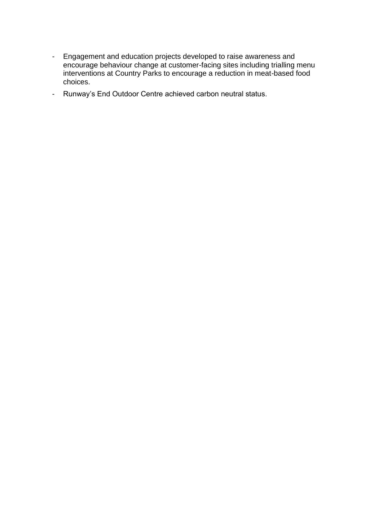- Engagement and education projects developed to raise awareness and encourage behaviour change at customer-facing sites including trialling menu interventions at Country Parks to encourage a reduction in meat-based food choices.
- Runway's End Outdoor Centre achieved carbon neutral status.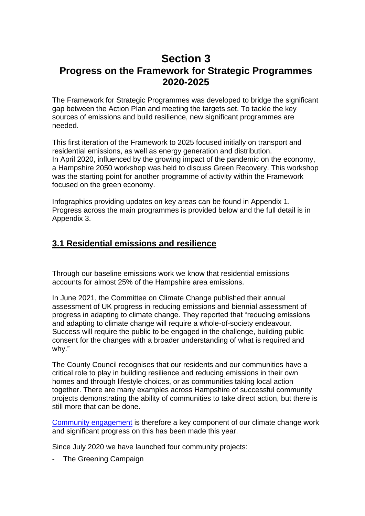# <span id="page-10-1"></span><span id="page-10-0"></span>**Section 3 Progress on the Framework for Strategic Programmes 2020-2025**

The Framework for Strategic Programmes was developed to bridge the significant gap between the Action Plan and meeting the targets set. To tackle the key sources of emissions and build resilience, new significant programmes are needed.

This first iteration of the Framework to 2025 focused initially on transport and residential emissions, as well as energy generation and distribution. In April 2020, influenced by the growing impact of the pandemic on the economy, a Hampshire 2050 workshop was held to discuss Green Recovery. This workshop was the starting point for another programme of activity within the Framework focused on the green economy.

Infographics providing updates on key areas can be found in Appendix 1. Progress across the main programmes is provided below and the full detail is in Appendix 3.

## <span id="page-10-2"></span>**3.1 Residential emissions and resilience**

Through our baseline emissions work we know that residential emissions accounts for almost 25% of the Hampshire area emissions.

In June 2021, the Committee on Climate Change published their annual assessment of UK progress in reducing emissions and biennial assessment of progress in adapting to climate change. They reported that "reducing emissions and adapting to climate change will require a whole-of-society endeavour. Success will require the public to be engaged in the challenge, building public consent for the changes with a broader understanding of what is required and why."

The County Council recognises that our residents and our communities have a critical role to play in building resilience and reducing emissions in their own homes and through lifestyle choices, or as communities taking local action together. There are many examples across Hampshire of successful community projects demonstrating the ability of communities to take direct action, but there is still more that can be done.

[Community engagement](https://www.hants.gov.uk/landplanningandenvironment/environment/climatechange/whatarewedoing/projects) is therefore a key component of our climate change work and significant progress on this has been made this year.

Since July 2020 we have launched four community projects:

The Greening Campaign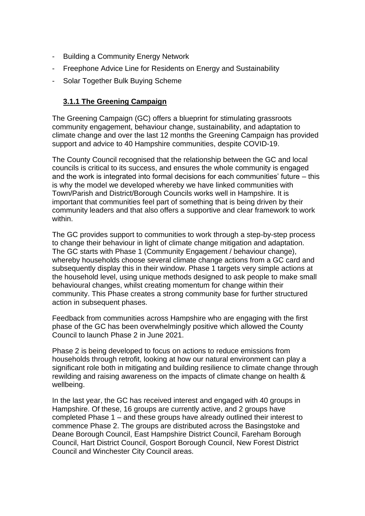- Building a Community Energy Network
- Freephone Advice Line for Residents on Energy and Sustainability
- <span id="page-11-0"></span>- Solar Together Bulk Buying Scheme

#### **3.1.1 The Greening Campaign**

The Greening Campaign (GC) offers a blueprint for stimulating grassroots community engagement, behaviour change, sustainability, and adaptation to climate change and over the last 12 months the Greening Campaign has provided support and advice to 40 Hampshire communities, despite COVID-19.

The County Council recognised that the relationship between the GC and local councils is critical to its success, and ensures the whole community is engaged and the work is integrated into formal decisions for each communities' future – this is why the model we developed whereby we have linked communities with Town/Parish and District/Borough Councils works well in Hampshire. It is important that communities feel part of something that is being driven by their community leaders and that also offers a supportive and clear framework to work within.

The GC provides support to communities to work through a step-by-step process to change their behaviour in light of climate change mitigation and adaptation. The GC starts with Phase 1 (Community Engagement / behaviour change), whereby households choose several climate change actions from a GC card and subsequently display this in their window. Phase 1 targets very simple actions at the household level, using unique methods designed to ask people to make small behavioural changes, whilst creating momentum for change within their community. This Phase creates a strong community base for further structured action in subsequent phases.

Feedback from communities across Hampshire who are engaging with the first phase of the GC has been overwhelmingly positive which allowed the County Council to launch Phase 2 in June 2021.

Phase 2 is being developed to focus on actions to reduce emissions from households through retrofit, looking at how our natural environment can play a significant role both in mitigating and building resilience to climate change through rewilding and raising awareness on the impacts of climate change on health & wellbeing.

In the last year, the GC has received interest and engaged with 40 groups in Hampshire. Of these, 16 groups are currently active, and 2 groups have completed Phase 1 – and these groups have already outlined their interest to commence Phase 2. The groups are distributed across the Basingstoke and Deane Borough Council, East Hampshire District Council, Fareham Borough Council, Hart District Council, Gosport Borough Council, New Forest District Council and Winchester City Council areas.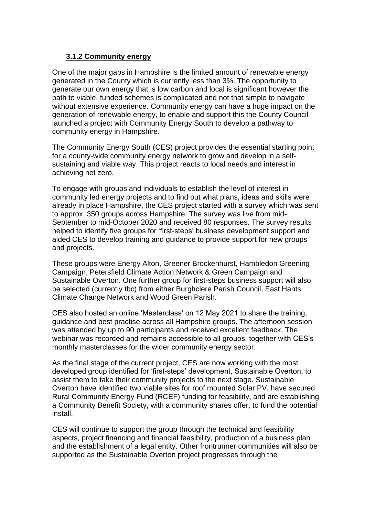#### <span id="page-12-0"></span>**3.1.2 Community energy**

One of the major gaps in Hampshire is the limited amount of renewable energy generated in the County which is currently less than 3%. The opportunity to generate our own energy that is low carbon and local is significant however the path to viable, funded schemes is complicated and not that simple to navigate without extensive experience. Community energy can have a huge impact on the generation of renewable energy, to enable and support this the County Council launched a project with Community Energy South to develop a pathway to community energy in Hampshire.

The Community Energy South (CES) project provides the essential starting point for a county-wide community energy network to grow and develop in a selfsustaining and viable way. This project reacts to local needs and interest in achieving net zero.

To engage with groups and individuals to establish the level of interest in community led energy projects and to find out what plans, ideas and skills were already in place Hampshire, the CES project started with a survey which was sent to approx. 350 groups across Hampshire. The survey was live from mid-September to mid-October 2020 and received 80 responses. The survey results helped to identify five groups for 'first-steps' business development support and aided CES to develop training and guidance to provide support for new groups and projects.

These groups were Energy Alton, Greener Brockenhurst, Hambledon Greening Campaign, Petersfield Climate Action Network & Green Campaign and Sustainable Overton. One further group for first-steps business support will also be selected (currently tbc) from either Burghclere Parish Council, East Hants Climate Change Network and Wood Green Parish.

CES also hosted an online 'Masterclass' on 12 May 2021 to share the training, guidance and best practise across all Hampshire groups. The afternoon session was attended by up to 90 participants and received excellent feedback. The webinar was recorded and remains accessible to all groups, together with CES's monthly masterclasses for the wider community energy sector.

As the final stage of the current project, CES are now working with the most developed group identified for 'first-steps' development, Sustainable Overton, to assist them to take their community projects to the next stage. Sustainable Overton have identified two viable sites for roof mounted Solar PV, have secured Rural Community Energy Fund (RCEF) funding for feasibility, and are establishing a Community Benefit Society, with a community shares offer, to fund the potential install.

CES will continue to support the group through the technical and feasibility aspects, project financing and financial feasibility, production of a business plan and the establishment of a legal entity. Other frontrunner communities will also be supported as the Sustainable Overton project progresses through the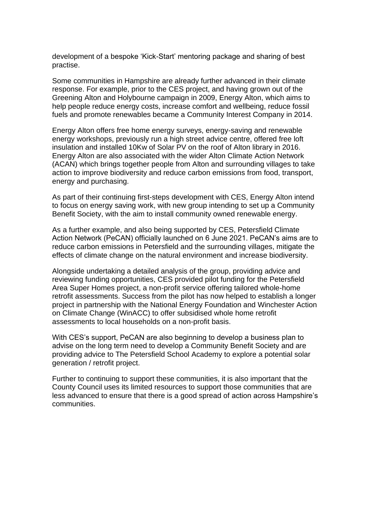development of a bespoke 'Kick-Start' mentoring package and sharing of best practise.

Some communities in Hampshire are already further advanced in their climate response. For example, prior to the CES project, and having grown out of the Greening Alton and Holybourne campaign in 2009, Energy Alton, which aims to help people reduce energy costs, increase comfort and wellbeing, reduce fossil fuels and promote renewables became a Community Interest Company in 2014.

Energy Alton offers free home energy surveys, energy-saving and renewable energy workshops, previously run a high street advice centre, offered free loft insulation and installed 10Kw of Solar PV on the roof of Alton library in 2016. Energy Alton are also associated with the wider Alton Climate Action Network (ACAN) which brings together people from Alton and surrounding villages to take action to improve biodiversity and reduce carbon emissions from food, transport, energy and purchasing.

As part of their continuing first-steps development with CES, Energy Alton intend to focus on energy saving work, with new group intending to set up a Community Benefit Society, with the aim to install community owned renewable energy.

As a further example, and also being supported by CES, Petersfield Climate Action Network (PeCAN) officially launched on 6 June 2021. PeCAN's aims are to reduce carbon emissions in Petersfield and the surrounding villages, mitigate the effects of climate change on the natural environment and increase biodiversity.

Alongside undertaking a detailed analysis of the group, providing advice and reviewing funding opportunities, CES provided pilot funding for the Petersfield Area Super Homes project, a non-profit service offering tailored whole-home retrofit assessments. Success from the pilot has now helped to establish a longer project in partnership with the National Energy Foundation and Winchester Action on Climate Change (WinACC) to offer subsidised whole home retrofit assessments to local households on a non-profit basis.

With CES's support, PeCAN are also beginning to develop a business plan to advise on the long term need to develop a Community Benefit Society and are providing advice to The Petersfield School Academy to explore a potential solar generation / retrofit project.

Further to continuing to support these communities, it is also important that the County Council uses its limited resources to support those communities that are less advanced to ensure that there is a good spread of action across Hampshire's communities.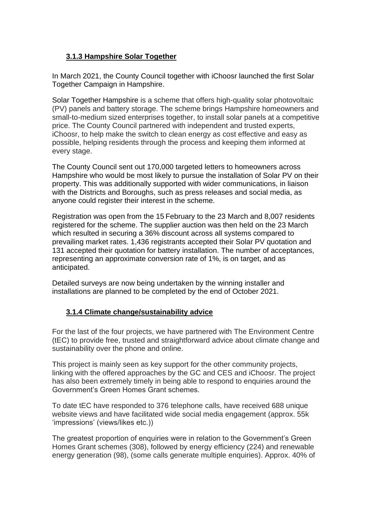#### <span id="page-14-0"></span>**3.1.3 Hampshire Solar Together**

In March 2021, the County Council together with iChoosr launched the first Solar Together Campaign in Hampshire.

Solar Together Hampshire is a scheme that offers high-quality solar photovoltaic (PV) panels and battery storage. The scheme brings Hampshire homeowners and small-to-medium sized enterprises together, to install solar panels at a competitive price. The County Council partnered with independent and trusted experts, iChoosr, to help make the switch to clean energy as cost effective and easy as possible, helping residents through the process and keeping them informed at every stage.

The County Council sent out 170,000 targeted letters to homeowners across Hampshire who would be most likely to pursue the installation of Solar PV on their property. This was additionally supported with wider communications, in liaison with the Districts and Boroughs, such as press releases and social media, as anyone could register their interest in the scheme.

Registration was open from the 15 February to the 23 March and 8,007 residents registered for the scheme. The supplier auction was then held on the 23 March which resulted in securing a 36% discount across all systems compared to prevailing market rates. 1,436 registrants accepted their Solar PV quotation and 131 accepted their quotation for battery installation. The number of acceptances, representing an approximate conversion rate of 1%, is on target, and as anticipated.

Detailed surveys are now being undertaken by the winning installer and installations are planned to be completed by the end of October 2021.

#### <span id="page-14-1"></span>**3.1.4 Climate change/sustainability advice**

For the last of the four projects, we have partnered with The Environment Centre (tEC) to provide free, trusted and straightforward advice about climate change and sustainability over the phone and online.

This project is mainly seen as key support for the other community projects, linking with the offered approaches by the GC and CES and iChoosr. The project has also been extremely timely in being able to respond to enquiries around the Government's Green Homes Grant schemes.

To date tEC have responded to 376 telephone calls, have received 688 unique website views and have facilitated wide social media engagement (approx. 55k 'impressions' (views/likes etc.))

The greatest proportion of enquiries were in relation to the Government's Green Homes Grant schemes (308), followed by energy efficiency (224) and renewable energy generation (98), (some calls generate multiple enquiries). Approx. 40% of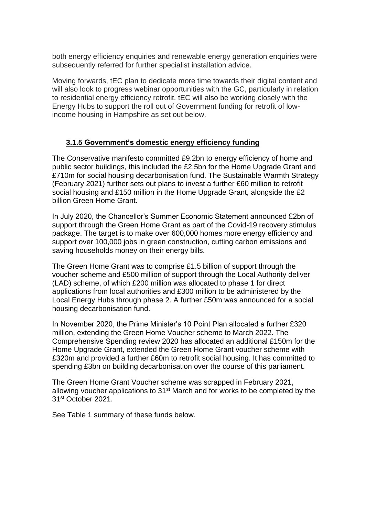both energy efficiency enquiries and renewable energy generation enquiries were subsequently referred for further specialist installation advice.

Moving forwards, tEC plan to dedicate more time towards their digital content and will also look to progress webinar opportunities with the GC, particularly in relation to residential energy efficiency retrofit. tEC will also be working closely with the Energy Hubs to support the roll out of Government funding for retrofit of lowincome housing in Hampshire as set out below.

#### <span id="page-15-0"></span>**3.1.5 Government's domestic energy efficiency funding**

The Conservative manifesto committed £9.2bn to energy efficiency of home and public sector buildings, this included the £2.5bn for the Home Upgrade Grant and £710m for social housing decarbonisation fund. The Sustainable Warmth Strategy (February 2021) further sets out plans to invest a further £60 million to retrofit social housing and £150 million in the Home Upgrade Grant, alongside the £2 billion Green Home Grant.

In July 2020, the Chancellor's Summer Economic Statement announced £2bn of support through the Green Home Grant as part of the Covid-19 recovery stimulus package. The target is to make over 600,000 homes more energy efficiency and support over 100,000 jobs in green construction, cutting carbon emissions and saving households money on their energy bills.

The Green Home Grant was to comprise £1.5 billion of support through the voucher scheme and £500 million of support through the Local Authority deliver (LAD) scheme, of which £200 million was allocated to phase 1 for direct applications from local authorities and £300 million to be administered by the Local Energy Hubs through phase 2. A further £50m was announced for a social housing decarbonisation fund.

In November 2020, the Prime Minister's 10 Point Plan allocated a further £320 million, extending the Green Home Voucher scheme to March 2022. The Comprehensive Spending review 2020 has allocated an additional £150m for the Home Upgrade Grant, extended the Green Home Grant voucher scheme with £320m and provided a further £60m to retrofit social housing. It has committed to spending £3bn on building decarbonisation over the course of this parliament.

The Green Home Grant Voucher scheme was scrapped in February 2021, allowing voucher applications to 31st March and for works to be completed by the 31st October 2021.

See Table 1 summary of these funds below.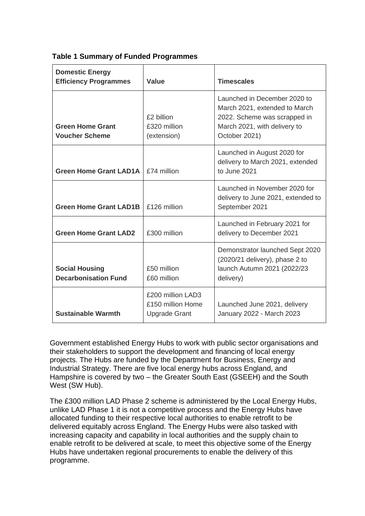| <b>Domestic Energy</b><br><b>Efficiency Programmes</b> | <b>Value</b>                                                   | <b>Timescales</b>                                                                                                                              |
|--------------------------------------------------------|----------------------------------------------------------------|------------------------------------------------------------------------------------------------------------------------------------------------|
| <b>Green Home Grant</b><br><b>Voucher Scheme</b>       | £2 billion<br>£320 million<br>(extension)                      | Launched in December 2020 to<br>March 2021, extended to March<br>2022. Scheme was scrapped in<br>March 2021, with delivery to<br>October 2021) |
| <b>Green Home Grant LAD1A</b>                          | £74 million                                                    | Launched in August 2020 for<br>delivery to March 2021, extended<br>to June 2021                                                                |
| <b>Green Home Grant LAD1B</b>                          | £126 million                                                   | Launched in November 2020 for<br>delivery to June 2021, extended to<br>September 2021                                                          |
| <b>Green Home Grant LAD2</b>                           | £300 million                                                   | Launched in February 2021 for<br>delivery to December 2021                                                                                     |
| <b>Social Housing</b><br><b>Decarbonisation Fund</b>   | £50 million<br>£60 million                                     | Demonstrator launched Sept 2020<br>(2020/21 delivery), phase 2 to<br>launch Autumn 2021 (2022/23<br>delivery)                                  |
| <b>Sustainable Warmth</b>                              | £200 million LAD3<br>£150 million Home<br><b>Upgrade Grant</b> | Launched June 2021, delivery<br>January 2022 - March 2023                                                                                      |

#### **Table 1 Summary of Funded Programmes**

Government established Energy Hubs to work with public sector organisations and their stakeholders to support the development and financing of local energy projects. The Hubs are funded by the Department for Business, Energy and Industrial Strategy. There are five local energy hubs across England, and Hampshire is covered by two – the Greater South East (GSEEH) and the South West (SW Hub).

The £300 million LAD Phase 2 scheme is administered by the Local Energy Hubs, unlike LAD Phase 1 it is not a competitive process and the Energy Hubs have allocated funding to their respective local authorities to enable retrofit to be delivered equitably across England. The Energy Hubs were also tasked with increasing capacity and capability in local authorities and the supply chain to enable retrofit to be delivered at scale, to meet this objective some of the Energy Hubs have undertaken regional procurements to enable the delivery of this programme.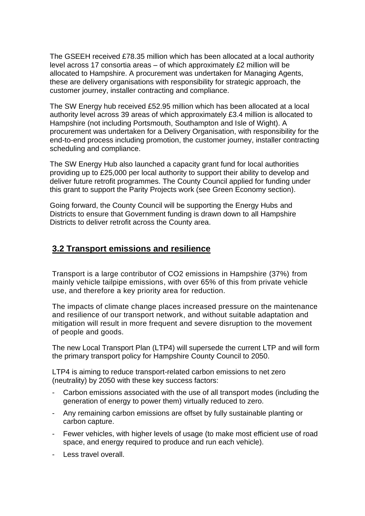The GSEEH received £78.35 million which has been allocated at a local authority level across 17 consortia areas – of which approximately £2 million will be allocated to Hampshire. A procurement was undertaken for Managing Agents, these are delivery organisations with responsibility for strategic approach, the customer journey, installer contracting and compliance.

The SW Energy hub received £52.95 million which has been allocated at a local authority level across 39 areas of which approximately £3.4 million is allocated to Hampshire (not including Portsmouth, Southampton and Isle of Wight). A procurement was undertaken for a Delivery Organisation, with responsibility for the end-to-end process including promotion, the customer journey, installer contracting scheduling and compliance.

The SW Energy Hub also launched a capacity grant fund for local authorities providing up to £25,000 per local authority to support their ability to develop and deliver future retrofit programmes. The County Council applied for funding under this grant to support the Parity Projects work (see Green Economy section).

Going forward, the County Council will be supporting the Energy Hubs and Districts to ensure that Government funding is drawn down to all Hampshire Districts to deliver retrofit across the County area.

#### <span id="page-17-0"></span>**3.2 Transport emissions and resilience**

Transport is a large contributor of CO2 emissions in Hampshire (37%) from mainly vehicle tailpipe emissions, with over 65% of this from private vehicle use, and therefore a key priority area for reduction.

The impacts of climate change places increased pressure on the maintenance and resilience of our transport network, and without suitable adaptation and mitigation will result in more frequent and severe disruption to the movement of people and goods.

The new Local Transport Plan (LTP4) will supersede the current LTP and will form the primary transport policy for Hampshire County Council to 2050.

LTP4 is aiming to reduce transport-related carbon emissions to net zero (neutrality) by 2050 with these key success factors:

- Carbon emissions associated with the use of all transport modes (including the generation of energy to power them) virtually reduced to zero.
- Any remaining carbon emissions are offset by fully sustainable planting or carbon capture.
- Fewer vehicles, with higher levels of usage (to make most efficient use of road space, and energy required to produce and run each vehicle).
- Less travel overall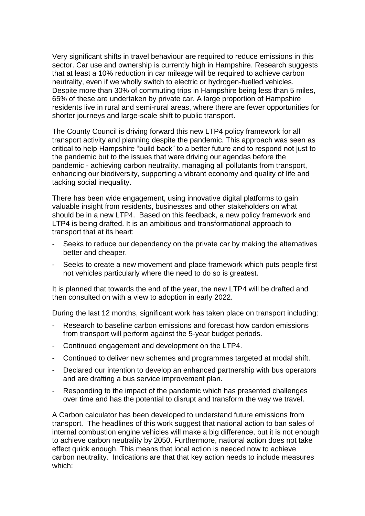Very significant shifts in travel behaviour are required to reduce emissions in this sector. Car use and ownership is currently high in Hampshire. Research suggests that at least a 10% reduction in car mileage will be required to achieve carbon neutrality, even if we wholly switch to electric or hydrogen-fuelled vehicles. Despite more than 30% of commuting trips in Hampshire being less than 5 miles, 65% of these are undertaken by private car. A large proportion of Hampshire residents live in rural and semi-rural areas, where there are fewer opportunities for shorter journeys and large-scale shift to public transport.

The County Council is driving forward this new LTP4 policy framework for all transport activity and planning despite the pandemic. This approach was seen as critical to help Hampshire "build back" to a better future and to respond not just to the pandemic but to the issues that were driving our agendas before the pandemic - achieving carbon neutrality, managing all pollutants from transport, enhancing our biodiversity, supporting a vibrant economy and quality of life and tacking social inequality.

There has been wide engagement, using innovative digital platforms to gain valuable insight from residents, businesses and other stakeholders on what should be in a new LTP4. Based on this feedback, a new policy framework and LTP4 is being drafted. It is an ambitious and transformational approach to transport that at its heart:

- Seeks to reduce our dependency on the private car by making the alternatives better and cheaper.
- Seeks to create a new movement and place framework which puts people first not vehicles particularly where the need to do so is greatest.

It is planned that towards the end of the year, the new LTP4 will be drafted and then consulted on with a view to adoption in early 2022.

During the last 12 months, significant work has taken place on transport including:

- Research to baseline carbon emissions and forecast how cardon emissions from transport will perform against the 5-year budget periods.
- Continued engagement and development on the LTP4.
- Continued to deliver new schemes and programmes targeted at modal shift.
- Declared our intention to develop an enhanced partnership with bus operators and are drafting a bus service improvement plan.
- Responding to the impact of the pandemic which has presented challenges over time and has the potential to disrupt and transform the way we travel.

A Carbon calculator has been developed to understand future emissions from transport. The headlines of this work suggest that national action to ban sales of internal combustion engine vehicles will make a big difference, but it is not enough to achieve carbon neutrality by 2050. Furthermore, national action does not take effect quick enough. This means that local action is needed now to achieve carbon neutrality. Indications are that that key action needs to include measures which: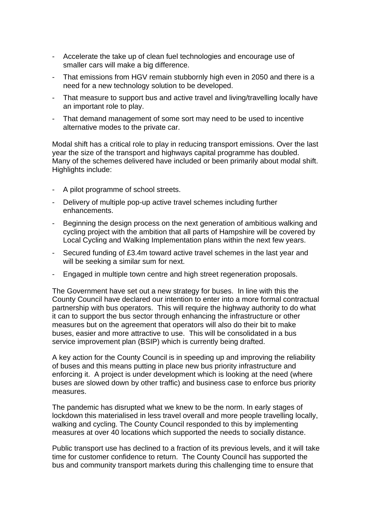- Accelerate the take up of clean fuel technologies and encourage use of smaller cars will make a big difference.
- That emissions from HGV remain stubbornly high even in 2050 and there is a need for a new technology solution to be developed.
- That measure to support bus and active travel and living/travelling locally have an important role to play.
- That demand management of some sort may need to be used to incentive alternative modes to the private car.

Modal shift has a critical role to play in reducing transport emissions. Over the last year the size of the transport and highways capital programme has doubled. Many of the schemes delivered have included or been primarily about modal shift. Highlights include:

- A pilot programme of school streets.
- Delivery of multiple pop-up active travel schemes including further enhancements.
- Beginning the design process on the next generation of ambitious walking and cycling project with the ambition that all parts of Hampshire will be covered by Local Cycling and Walking Implementation plans within the next few years.
- Secured funding of £3.4m toward active travel schemes in the last year and will be seeking a similar sum for next.
- Engaged in multiple town centre and high street regeneration proposals.

The Government have set out a new strategy for buses. In line with this the County Council have declared our intention to enter into a more formal contractual partnership with bus operators. This will require the highway authority to do what it can to support the bus sector through enhancing the infrastructure or other measures but on the agreement that operators will also do their bit to make buses, easier and more attractive to use. This will be consolidated in a bus service improvement plan (BSIP) which is currently being drafted.

A key action for the County Council is in speeding up and improving the reliability of buses and this means putting in place new bus priority infrastructure and enforcing it. A project is under development which is looking at the need (where buses are slowed down by other traffic) and business case to enforce bus priority measures.

The pandemic has disrupted what we knew to be the norm. In early stages of lockdown this materialised in less travel overall and more people travelling locally, walking and cycling. The County Council responded to this by implementing measures at over 40 locations which supported the needs to socially distance.

Public transport use has declined to a fraction of its previous levels, and it will take time for customer confidence to return. The County Council has supported the bus and community transport markets during this challenging time to ensure that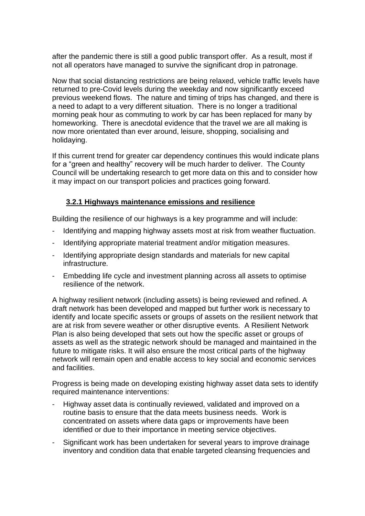after the pandemic there is still a good public transport offer. As a result, most if not all operators have managed to survive the significant drop in patronage.

Now that social distancing restrictions are being relaxed, vehicle traffic levels have returned to pre-Covid levels during the weekday and now significantly exceed previous weekend flows. The nature and timing of trips has changed, and there is a need to adapt to a very different situation. There is no longer a traditional morning peak hour as commuting to work by car has been replaced for many by homeworking. There is anecdotal evidence that the travel we are all making is now more orientated than ever around, leisure, shopping, socialising and holidaying.

If this current trend for greater car dependency continues this would indicate plans for a "green and healthy" recovery will be much harder to deliver. The County Council will be undertaking research to get more data on this and to consider how it may impact on our transport policies and practices going forward.

#### <span id="page-20-0"></span>**3.2.1 Highways maintenance emissions and resilience**

Building the resilience of our highways is a key programme and will include:

- Identifying and mapping highway assets most at risk from weather fluctuation.
- Identifying appropriate material treatment and/or mitigation measures.
- Identifying appropriate design standards and materials for new capital infrastructure.
- Embedding life cycle and investment planning across all assets to optimise resilience of the network.

A highway resilient network (including assets) is being reviewed and refined. A draft network has been developed and mapped but further work is necessary to identify and locate specific assets or groups of assets on the resilient network that are at risk from severe weather or other disruptive events. A Resilient Network Plan is also being developed that sets out how the specific asset or groups of assets as well as the strategic network should be managed and maintained in the future to mitigate risks. It will also ensure the most critical parts of the highway network will remain open and enable access to key social and economic services and facilities.

Progress is being made on developing existing highway asset data sets to identify required maintenance interventions:

- Highway asset data is continually reviewed, validated and improved on a routine basis to ensure that the data meets business needs. Work is concentrated on assets where data gaps or improvements have been identified or due to their importance in meeting service objectives.
- Significant work has been undertaken for several years to improve drainage inventory and condition data that enable targeted cleansing frequencies and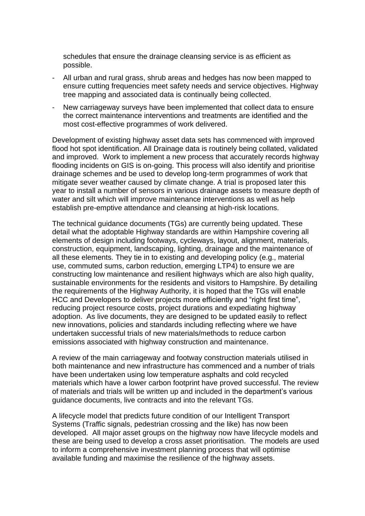schedules that ensure the drainage cleansing service is as efficient as possible.

- All urban and rural grass, shrub areas and hedges has now been mapped to ensure cutting frequencies meet safety needs and service objectives. Highway tree mapping and associated data is continually being collected.
- New carriageway surveys have been implemented that collect data to ensure the correct maintenance interventions and treatments are identified and the most cost-effective programmes of work delivered.

Development of existing highway asset data sets has commenced with improved flood hot spot identification. All Drainage data is routinely being collated, validated and improved. Work to implement a new process that accurately records highway flooding incidents on GIS is on-going. This process will also identify and prioritise drainage schemes and be used to develop long-term programmes of work that mitigate sever weather caused by climate change. A trial is proposed later this year to install a number of sensors in various drainage assets to measure depth of water and silt which will improve maintenance interventions as well as help establish pre-emptive attendance and cleansing at high-risk locations.

The technical guidance documents (TGs) are currently being updated. These detail what the adoptable Highway standards are within Hampshire covering all elements of design including footways, cycleways, layout, alignment, materials, construction, equipment, landscaping, lighting, drainage and the maintenance of all these elements. They tie in to existing and developing policy (e.g., material use, commuted sums, carbon reduction, emerging LTP4) to ensure we are constructing low maintenance and resilient highways which are also high quality, sustainable environments for the residents and visitors to Hampshire. By detailing the requirements of the Highway Authority, it is hoped that the TGs will enable HCC and Developers to deliver projects more efficiently and "right first time", reducing project resource costs, project durations and expediating highway adoption. As live documents, they are designed to be updated easily to reflect new innovations, policies and standards including reflecting where we have undertaken successful trials of new materials/methods to reduce carbon emissions associated with highway construction and maintenance.

A review of the main carriageway and footway construction materials utilised in both maintenance and new infrastructure has commenced and a number of trials have been undertaken using low temperature asphalts and cold recycled materials which have a lower carbon footprint have proved successful. The review of materials and trials will be written up and included in the department's various guidance documents, live contracts and into the relevant TGs.

A lifecycle model that predicts future condition of our Intelligent Transport Systems (Traffic signals, pedestrian crossing and the like) has now been developed. All major asset groups on the highway now have lifecycle models and these are being used to develop a cross asset prioritisation. The models are used to inform a comprehensive investment planning process that will optimise available funding and maximise the resilience of the highway assets.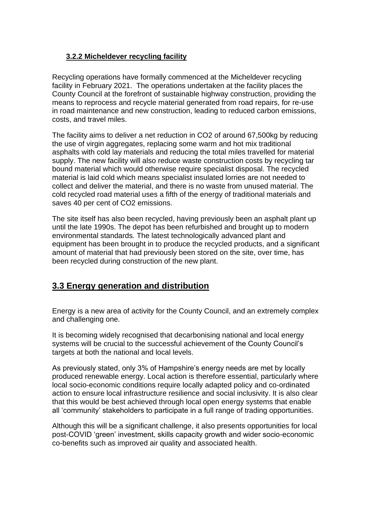#### <span id="page-22-0"></span>**3.2.2 Micheldever recycling facility**

Recycling operations have formally commenced at the Micheldever recycling facility in February 2021. The operations undertaken at the facility places the County Council at the forefront of sustainable highway construction, providing the means to reprocess and recycle material generated from road repairs, for re-use in road maintenance and new construction, leading to reduced carbon emissions, costs, and travel miles.

The facility aims to deliver a net reduction in CO2 of around 67,500kg by reducing the use of virgin aggregates, replacing some warm and hot mix traditional asphalts with cold lay materials and reducing the total miles travelled for material supply. The new facility will also reduce waste construction costs by recycling tar bound material which would otherwise require specialist disposal. The recycled material is laid cold which means specialist insulated lorries are not needed to collect and deliver the material, and there is no waste from unused material. The cold recycled road material uses a fifth of the energy of traditional materials and saves 40 per cent of CO2 emissions.

The site itself has also been recycled, having previously been an asphalt plant up until the late 1990s. The depot has been refurbished and brought up to modern environmental standards. The latest technologically advanced plant and equipment has been brought in to produce the recycled products, and a significant amount of material that had previously been stored on the site, over time, has been recycled during construction of the new plant.

## <span id="page-22-1"></span>**3.3 Energy generation and distribution**

Energy is a new area of activity for the County Council, and an extremely complex and challenging one.

It is becoming widely recognised that decarbonising national and local energy systems will be crucial to the successful achievement of the County Council's targets at both the national and local levels.

As previously stated, only 3% of Hampshire's energy needs are met by locally produced renewable energy. Local action is therefore essential, particularly where local socio-economic conditions require locally adapted policy and co-ordinated action to ensure local infrastructure resilience and social inclusivity. It is also clear that this would be best achieved through local open energy systems that enable all 'community' stakeholders to participate in a full range of trading opportunities.

Although this will be a significant challenge, it also presents opportunities for local post-COVID 'green' investment, skills capacity growth and wider socio-economic co-benefits such as improved air quality and associated health.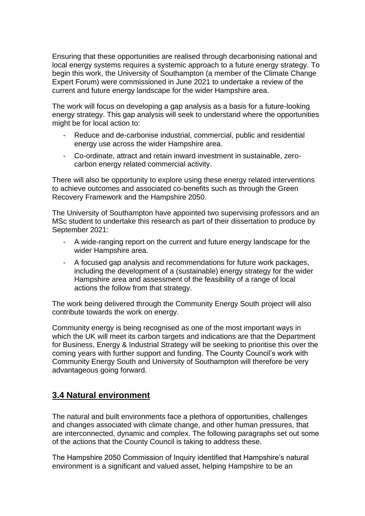Ensuring that these opportunities are realised through decarbonising national and local energy systems requires a systemic approach to a future energy strategy. To begin this work, the University of Southampton (a member of the Climate Change Expert Forum) were commissioned in June 2021 to undertake a review of the current and future energy landscape for the wider Hampshire area.

The work will focus on developing a gap analysis as a basis for a future-looking energy strategy. This gap analysis will seek to understand where the opportunities might be for local action to:

- Reduce and de-carbonise industrial, commercial, public and residential energy use across the wider Hampshire area.
- Co-ordinate, attract and retain inward investment in sustainable, zerocarbon energy related commercial activity.

There will also be opportunity to explore using these energy related interventions to achieve outcomes and associated co-benefits such as through the Green Recovery Framework and the Hampshire 2050.

The University of Southampton have appointed two supervising professors and an MSc student to undertake this research as part of their dissertation to produce by September 2021:

- A wide-ranging report on the current and future energy landscape for the wider Hampshire area.
- A focused gap analysis and recommendations for future work packages, including the development of a (sustainable) energy strategy for the wider Hampshire area and assessment of the feasibility of a range of local actions the follow from that strategy.

The work being delivered through the Community Energy South project will also contribute towards the work on energy.

Community energy is being recognised as one of the most important ways in which the UK will meet its carbon targets and indications are that the Department for Business, Energy & Industrial Strategy will be seeking to prioritise this over the coming years with further support and funding. The County Council's work with Community Energy South and University of Southampton will therefore be very advantageous going forward.

## <span id="page-23-0"></span>**3.4 Natural environment**

The natural and built environments face a plethora of opportunities, challenges and changes associated with climate change, and other human pressures, that are interconnected, dynamic and complex. The following paragraphs set out some of the actions that the County Council is taking to address these.

The Hampshire 2050 Commission of Inquiry identified that Hampshire's natural environment is a significant and valued asset, helping Hampshire to be an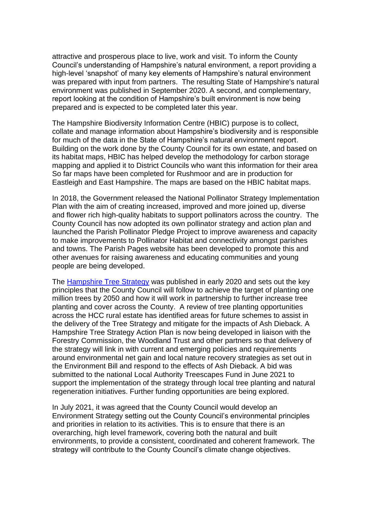attractive and prosperous place to live, work and visit. To inform the County Council's understanding of Hampshire's natural environment, a report providing a high-level 'snapshot' of many key elements of Hampshire's natural environment was prepared with input from partners. The resulting State of Hampshire's natural environment was published in September 2020. A second, and complementary, report looking at the condition of Hampshire's built environment is now being prepared and is expected to be completed later this year.

The Hampshire Biodiversity Information Centre (HBIC) purpose is to collect, collate and manage information about Hampshire's biodiversity and is responsible for much of the data in the State of Hampshire's natural environment report. Building on the work done by the County Council for its own estate, and based on its habitat maps, HBIC has helped develop the methodology for carbon storage mapping and applied it to District Councils who want this information for their area So far maps have been completed for Rushmoor and are in production for Eastleigh and East Hampshire. The maps are based on the HBIC habitat maps.

In 2018, the Government released the National Pollinator Strategy Implementation Plan with the aim of creating increased, improved and more joined up, diverse and flower rich high-quality habitats to support pollinators across the country. The County Council has now adopted its own pollinator strategy and action plan and launched the Parish Pollinator Pledge Project to improve awareness and capacity to make improvements to Pollinator Habitat and connectivity amongst parishes and towns. The Parish Pages website has been developed to promote this and other avenues for raising awareness and educating communities and young people are being developed.

The [Hampshire Tree Strategy](https://documents.hants.gov.uk/environment/tree-strategy.pdf) was published in early 2020 and sets out the key principles that the County Council will follow to achieve the target of planting one million trees by 2050 and how it will work in partnership to further increase tree planting and cover across the County. A review of tree planting opportunities across the HCC rural estate has identified areas for future schemes to assist in the delivery of the Tree Strategy and mitigate for the impacts of Ash Dieback. A Hampshire Tree Strategy Action Plan is now being developed in liaison with the Forestry Commission, the Woodland Trust and other partners so that delivery of the strategy will link in with current and emerging policies and requirements around environmental net gain and local nature recovery strategies as set out in the Environment Bill and respond to the effects of Ash Dieback. A bid was submitted to the national Local Authority Treescapes Fund in June 2021 to support the implementation of the strategy through local tree planting and natural regeneration initiatives. Further funding opportunities are being explored.

<span id="page-24-0"></span>In July 2021, it was agreed that the County Council would develop an Environment Strategy setting out the County Council's environmental principles and priorities in relation to its activities. This is to ensure that there is an overarching, high level framework, covering both the natural and built environments, to provide a consistent, coordinated and coherent framework. The strategy will contribute to the County Council's climate change objectives.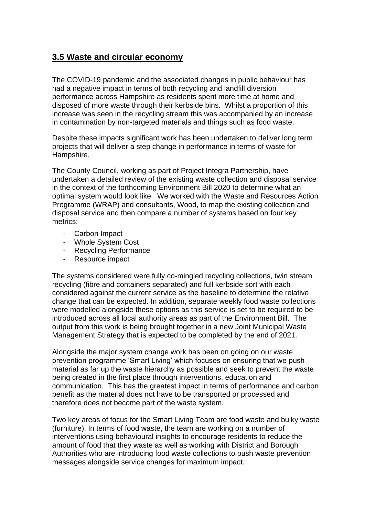## **3.5 Waste and circular economy**

The COVID-19 pandemic and the associated changes in public behaviour has had a negative impact in terms of both recycling and landfill diversion performance across Hampshire as residents spent more time at home and disposed of more waste through their kerbside bins. Whilst a proportion of this increase was seen in the recycling stream this was accompanied by an increase in contamination by non-targeted materials and things such as food waste.

Despite these impacts significant work has been undertaken to deliver long term projects that will deliver a step change in performance in terms of waste for Hampshire.

The County Council, working as part of Project Integra Partnership, have undertaken a detailed review of the existing waste collection and disposal service in the context of the forthcoming Environment Bill 2020 to determine what an optimal system would look like. We worked with the Waste and Resources Action Programme (WRAP) and consultants, Wood, to map the existing collection and disposal service and then compare a number of systems based on four key metrics:

- Carbon Impact
- Whole System Cost
- Recycling Performance
- Resource impact

The systems considered were fully co-mingled recycling collections, twin stream recycling (fibre and containers separated) and full kerbside sort with each considered against the current service as the baseline to determine the relative change that can be expected. In addition, separate weekly food waste collections were modelled alongside these options as this service is set to be required to be introduced across all local authority areas as part of the Environment Bill. The output from this work is being brought together in a new Joint Municipal Waste Management Strategy that is expected to be completed by the end of 2021.

Alongside the major system change work has been on going on our waste prevention programme 'Smart Living' which focuses on ensuring that we push material as far up the waste hierarchy as possible and seek to prevent the waste being created in the first place through interventions, education and communication. This has the greatest impact in terms of performance and carbon benefit as the material does not have to be transported or processed and therefore does not become part of the waste system.

Two key areas of focus for the Smart Living Team are food waste and bulky waste (furniture). In terms of food waste, the team are working on a number of interventions using behavioural insights to encourage residents to reduce the amount of food that they waste as well as working with District and Borough Authorities who are introducing food waste collections to push waste prevention messages alongside service changes for maximum impact.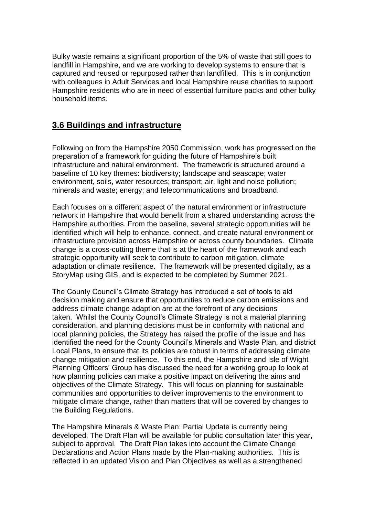Bulky waste remains a significant proportion of the 5% of waste that still goes to landfill in Hampshire, and we are working to develop systems to ensure that is captured and reused or repurposed rather than landfilled. This is in conjunction with colleagues in Adult Services and local Hampshire reuse charities to support Hampshire residents who are in need of essential furniture packs and other bulky household items.

# <span id="page-26-0"></span>**3.6 Buildings and infrastructure**

Following on from the Hampshire 2050 Commission, work has progressed on the preparation of a framework for guiding the future of Hampshire's built infrastructure and natural environment. The framework is structured around a baseline of 10 key themes: biodiversity; landscape and seascape; water environment, soils, water resources; transport; air, light and noise pollution; minerals and waste; energy; and telecommunications and broadband.

Each focuses on a different aspect of the natural environment or infrastructure network in Hampshire that would benefit from a shared understanding across the Hampshire authorities. From the baseline, several strategic opportunities will be identified which will help to enhance, connect, and create natural environment or infrastructure provision across Hampshire or across county boundaries. Climate change is a cross-cutting theme that is at the heart of the framework and each strategic opportunity will seek to contribute to carbon mitigation, climate adaptation or climate resilience. The framework will be presented digitally, as a StoryMap using GIS, and is expected to be completed by Summer 2021.

The County Council's Climate Strategy has introduced a set of tools to aid decision making and ensure that opportunities to reduce carbon emissions and address climate change adaption are at the forefront of any decisions taken. Whilst the County Council's Climate Strategy is not a material planning consideration, and planning decisions must be in conformity with national and local planning policies, the Strategy has raised the profile of the issue and has identified the need for the County Council's Minerals and Waste Plan, and district Local Plans, to ensure that its policies are robust in terms of addressing climate change mitigation and resilience. To this end, the Hampshire and Isle of Wight Planning Officers' Group has discussed the need for a working group to look at how planning policies can make a positive impact on delivering the aims and objectives of the Climate Strategy. This will focus on planning for sustainable communities and opportunities to deliver improvements to the environment to mitigate climate change, rather than matters that will be covered by changes to the Building Regulations.

The Hampshire Minerals & Waste Plan: Partial Update is currently being developed. The Draft Plan will be available for public consultation later this year, subject to approval. The Draft Plan takes into account the Climate Change Declarations and Action Plans made by the Plan-making authorities. This is reflected in an updated Vision and Plan Objectives as well as a strengthened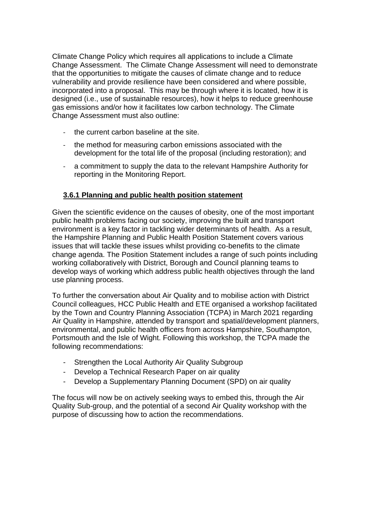Climate Change Policy which requires all applications to include a Climate Change Assessment. The Climate Change Assessment will need to demonstrate that the opportunities to mitigate the causes of climate change and to reduce vulnerability and provide resilience have been considered and where possible, incorporated into a proposal. This may be through where it is located, how it is designed (i.e., use of sustainable resources), how it helps to reduce greenhouse gas emissions and/or how it facilitates low carbon technology. The Climate Change Assessment must also outline:

- the current carbon baseline at the site.
- the method for measuring carbon emissions associated with the development for the total life of the proposal (including restoration); and
- a commitment to supply the data to the relevant Hampshire Authority for reporting in the Monitoring Report.

#### <span id="page-27-0"></span>**3.6.1 Planning and public health position statement**

Given the scientific evidence on the causes of obesity, one of the most important public health problems facing our society, improving the built and transport environment is a key factor in tackling wider determinants of health. As a result, the Hampshire Planning and Public Health Position Statement covers various issues that will tackle these issues whilst providing co-benefits to the climate change agenda. The Position Statement includes a range of such points including working collaboratively with District, Borough and Council planning teams to develop ways of working which address public health objectives through the land use planning process.

To further the conversation about Air Quality and to mobilise action with District Council colleagues, HCC Public Health and ETE organised a workshop facilitated by the Town and Country Planning Association (TCPA) in March 2021 regarding Air Quality in Hampshire, attended by transport and spatial/development planners, environmental, and public health officers from across Hampshire, Southampton, Portsmouth and the Isle of Wight. Following this workshop, the TCPA made the following recommendations:

- Strengthen the Local Authority Air Quality Subgroup
- Develop a Technical Research Paper on air quality
- Develop a Supplementary Planning Document (SPD) on air quality

The focus will now be on actively seeking ways to embed this, through the Air Quality Sub-group, and the potential of a second Air Quality workshop with the purpose of discussing how to action the recommendations.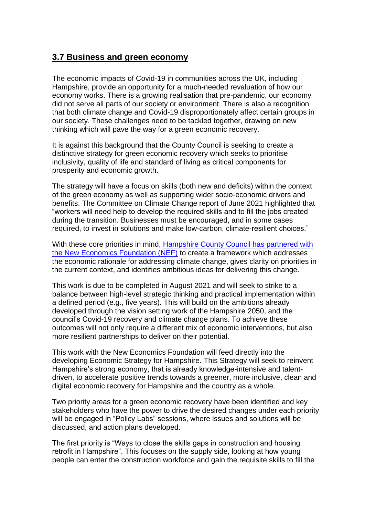#### <span id="page-28-0"></span>**3.7 Business and green economy**

The economic impacts of Covid-19 in communities across the UK, including Hampshire, provide an opportunity for a much-needed revaluation of how our economy works. There is a growing realisation that pre-pandemic, our economy did not serve all parts of our society or environment. There is also a recognition that both climate change and Covid-19 disproportionately affect certain groups in our society. These challenges need to be tackled together, drawing on new thinking which will pave the way for a green economic recovery.

It is against this background that the County Council is seeking to create a distinctive strategy for green economic recovery which seeks to prioritise inclusivity, quality of life and standard of living as critical components for prosperity and economic growth.

The strategy will have a focus on skills (both new and deficits) within the context of the green economy as well as supporting wider socio-economic drivers and benefits. The Committee on Climate Change report of June 2021 highlighted that "workers will need help to develop the required skills and to fill the jobs created during the transition. Businesses must be encouraged, and in some cases required, to invest in solutions and make low-carbon, climate-resilient choices."

With these core priorities in mind, Hampshire County Council has partnered with [the New Economics Foundation \(NEF\)](https://www.hants.gov.uk/aboutthecouncil/haveyoursay/visionforhampshire2050/hampshire-2050-partnership/new-economics-foundation) to create a framework which addresses the economic rationale for addressing climate change, gives clarity on priorities in the current context, and identifies ambitious ideas for delivering this change.

This work is due to be completed in August 2021 and will seek to strike to a balance between high-level strategic thinking and practical implementation within a defined period (e.g., five years). This will build on the ambitions already developed through the vision setting work of the Hampshire 2050, and the council's Covid-19 recovery and climate change plans. To achieve these outcomes will not only require a different mix of economic interventions, but also more resilient partnerships to deliver on their potential.

This work with the New Economics Foundation will feed directly into the developing Economic Strategy for Hampshire. This Strategy will seek to reinvent Hampshire's strong economy, that is already knowledge-intensive and talentdriven, to accelerate positive trends towards a greener, more inclusive, clean and digital economic recovery for Hampshire and the country as a whole.

Two priority areas for a green economic recovery have been identified and key stakeholders who have the power to drive the desired changes under each priority will be engaged in "Policy Labs" sessions, where issues and solutions will be discussed, and action plans developed.

The first priority is "Ways to close the skills gaps in construction and housing retrofit in Hampshire". This focuses on the supply side, looking at how young people can enter the construction workforce and gain the requisite skills to fill the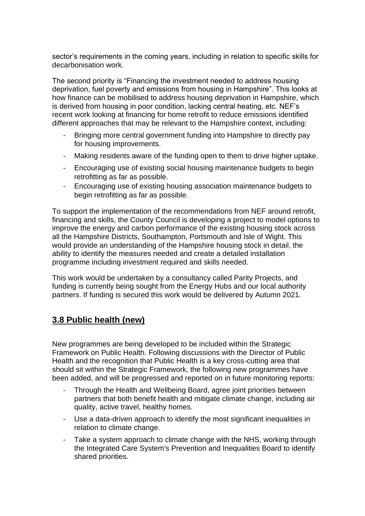sector's requirements in the coming years, including in relation to specific skills for decarbonisation work.

The second priority is "Financing the investment needed to address housing deprivation, fuel poverty and emissions from housing in Hampshire". This looks at how finance can be mobilised to address housing deprivation in Hampshire, which is derived from housing in poor condition, lacking central heating, etc. NEF's recent work looking at financing for home retrofit to reduce emissions identified different approaches that may be relevant to the Hampshire context, including:

- Bringing more central government funding into Hampshire to directly pay for housing improvements.
- Making residents aware of the funding open to them to drive higher uptake.
- Encouraging use of existing social housing maintenance budgets to begin retrofitting as far as possible.
- Encouraging use of existing housing association maintenance budgets to begin retrofitting as far as possible.

To support the implementation of the recommendations from NEF around retrofit, financing and skills, the County Council is developing a project to model options to improve the energy and carbon performance of the existing housing stock across all the Hampshire Districts, Southampton, Portsmouth and Isle of Wight. This would provide an understanding of the Hampshire housing stock in detail, the ability to identify the measures needed and create a detailed installation programme including investment required and skills needed.

This work would be undertaken by a consultancy called Parity Projects, and funding is currently being sought from the Energy Hubs and our local authority partners. If funding is secured this work would be delivered by Autumn 2021.

# <span id="page-29-0"></span>**3.8 Public health (new)**

New programmes are being developed to be included within the Strategic Framework on Public Health. Following discussions with the Director of Public Health and the recognition that Public Health is a key cross-cutting area that should sit within the Strategic Framework, the following new programmes have been added, and will be progressed and reported on in future monitoring reports:

- Through the Health and Wellbeing Board, agree joint priorities between partners that both benefit health and mitigate climate change, including air quality, active travel, healthy homes.
- Use a data-driven approach to identify the most significant inequalities in relation to climate change.
- Take a system approach to climate change with the NHS, working through the Integrated Care System's Prevention and Inequalities Board to identify shared priorities.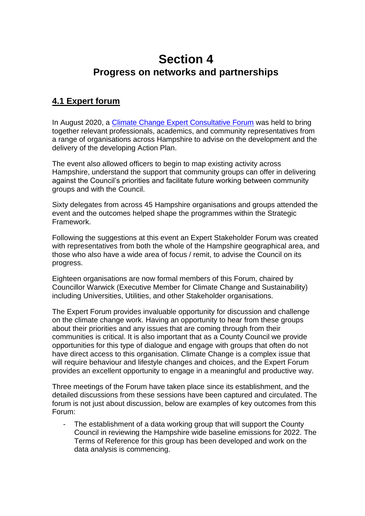# <span id="page-30-0"></span>**Section 4 Progress on networks and partnerships**

## <span id="page-30-2"></span><span id="page-30-1"></span>**4.1 Expert forum**

In August 2020, a [Climate Change Expert Consultative Forum](https://www.hants.gov.uk/landplanningandenvironment/environment/climatechange/whoweworkwith/climatechangeforumevent) was held to bring together relevant professionals, academics, and community representatives from a range of organisations across Hampshire to advise on the development and the delivery of the developing Action Plan.

The event also allowed officers to begin to map existing activity across Hampshire, understand the support that community groups can offer in delivering against the Council's priorities and facilitate future working between community groups and with the Council.

Sixty delegates from across 45 Hampshire organisations and groups attended the event and the outcomes helped shape the programmes within the Strategic Framework.

Following the suggestions at this event an Expert Stakeholder Forum was created with representatives from both the whole of the Hampshire geographical area, and those who also have a wide area of focus / remit, to advise the Council on its progress.

Eighteen organisations are now formal members of this Forum, chaired by Councillor Warwick (Executive Member for Climate Change and Sustainability) including Universities, Utilities, and other Stakeholder organisations.

The Expert Forum provides invaluable opportunity for discussion and challenge on the climate change work. Having an opportunity to hear from these groups about their priorities and any issues that are coming through from their communities is critical. It is also important that as a County Council we provide opportunities for this type of dialogue and engage with groups that often do not have direct access to this organisation. Climate Change is a complex issue that will require behaviour and lifestyle changes and choices, and the Expert Forum provides an excellent opportunity to engage in a meaningful and productive way.

Three meetings of the Forum have taken place since its establishment, and the detailed discussions from these sessions have been captured and circulated. The forum is not just about discussion, below are examples of key outcomes from this Forum:

- The establishment of a data working group that will support the County Council in reviewing the Hampshire wide baseline emissions for 2022. The Terms of Reference for this group has been developed and work on the data analysis is commencing.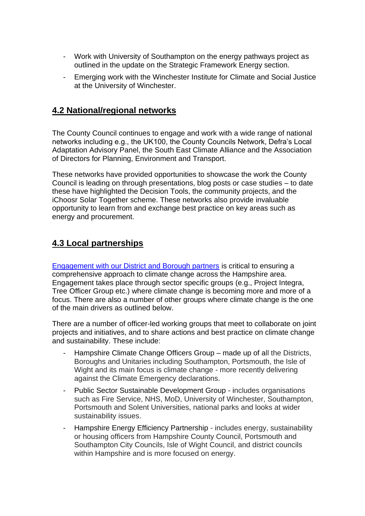- Work with University of Southampton on the energy pathways project as outlined in the update on the Strategic Framework Energy section.
- Emerging work with the Winchester Institute for Climate and Social Justice at the University of Winchester.

#### <span id="page-31-0"></span>**4.2 National/regional networks**

The County Council continues to engage and work with a wide range of national networks including e.g., the UK100, the County Councils Network, Defra's Local Adaptation Advisory Panel, the South East Climate Alliance and the Association of Directors for Planning, Environment and Transport.

These networks have provided opportunities to showcase the work the County Council is leading on through presentations, blog posts or case studies – to date these have highlighted the Decision Tools, the community projects, and the iChoosr Solar Together scheme. These networks also provide invaluable opportunity to learn from and exchange best practice on key areas such as energy and procurement.

## <span id="page-31-1"></span>**4.3 Local partnerships**

[Engagement with our District and Borough partners](https://www.hants.gov.uk/landplanningandenvironment/environment/climatechange/whoweworkwith/climatechangeforumevent) is critical to ensuring a comprehensive approach to climate change across the Hampshire area. Engagement takes place through sector specific groups (e.g., Project Integra, Tree Officer Group etc.) where climate change is becoming more and more of a focus. There are also a number of other groups where climate change is the one of the main drivers as outlined below.

There are a number of officer-led working groups that meet to collaborate on joint projects and initiatives, and to share actions and best practice on climate change and sustainability. These include:

- Hampshire Climate Change Officers Group made up of all the Districts, Boroughs and Unitaries including Southampton, Portsmouth, the Isle of Wight and its main focus is climate change - more recently delivering against the Climate Emergency declarations.
- Public Sector Sustainable Development Group includes organisations such as Fire Service, NHS, MoD, University of Winchester, Southampton, Portsmouth and Solent Universities, national parks and looks at wider sustainability issues.
- Hampshire Energy Efficiency Partnership includes energy, sustainability or housing officers from Hampshire County Council, Portsmouth and Southampton City Councils, Isle of Wight Council, and district councils within Hampshire and is more focused on energy.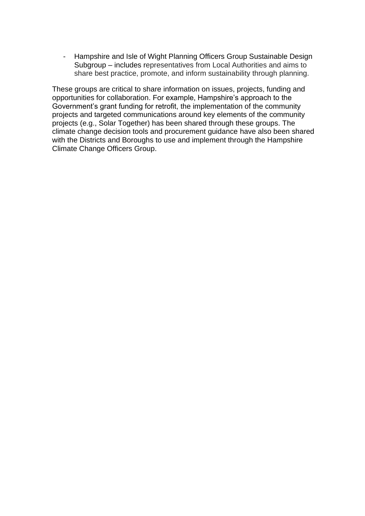- Hampshire and Isle of Wight Planning Officers Group Sustainable Design Subgroup – includes representatives from Local Authorities and aims to share best practice, promote, and inform sustainability through planning.

These groups are critical to share information on issues, projects, funding and opportunities for collaboration. For example, Hampshire's approach to the Government's grant funding for retrofit, the implementation of the community projects and targeted communications around key elements of the community projects (e.g., Solar Together) has been shared through these groups. The climate change decision tools and procurement guidance have also been shared with the Districts and Boroughs to use and implement through the Hampshire Climate Change Officers Group.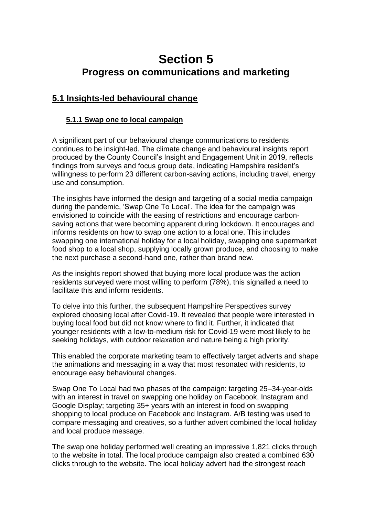# <span id="page-33-0"></span>**Section 5 Progress on communications and marketing**

# <span id="page-33-3"></span><span id="page-33-2"></span><span id="page-33-1"></span>**5.1 Insights-led behavioural change**

#### **5.1.1 Swap one to local campaign**

A significant part of our behavioural change communications to residents continues to be insight-led. The climate change and behavioural insights report produced by the County Council's Insight and Engagement Unit in 2019, reflects findings from surveys and focus group data, indicating Hampshire resident's willingness to perform 23 different carbon-saving actions, including travel, energy use and consumption.

The insights have informed the design and targeting of a social media campaign during the pandemic, 'Swap One To Local'. The idea for the campaign was envisioned to coincide with the easing of restrictions and encourage carbonsaving actions that were becoming apparent during lockdown. It encourages and informs residents on how to swap one action to a local one. This includes swapping one international holiday for a local holiday, swapping one supermarket food shop to a local shop, supplying locally grown produce, and choosing to make the next purchase a second-hand one, rather than brand new.

As the insights report showed that buying more local produce was the action residents surveyed were most willing to perform (78%), this signalled a need to facilitate this and inform residents.

To delve into this further, the subsequent Hampshire Perspectives survey explored choosing local after Covid-19. It revealed that people were interested in buying local food but did not know where to find it. Further, it indicated that younger residents with a low-to-medium risk for Covid-19 were most likely to be seeking holidays, with outdoor relaxation and nature being a high priority.

This enabled the corporate marketing team to effectively target adverts and shape the animations and messaging in a way that most resonated with residents, to encourage easy behavioural changes.

Swap One To Local had two phases of the campaign: targeting 25–34-year-olds with an interest in travel on swapping one holiday on Facebook, Instagram and Google Display; targeting 35+ years with an interest in food on swapping shopping to local produce on Facebook and Instagram. A/B testing was used to compare messaging and creatives, so a further advert combined the local holiday and local produce message.

The swap one holiday performed well creating an impressive 1,821 clicks through to the website in total. The local produce campaign also created a combined 630 clicks through to the website. The local holiday advert had the strongest reach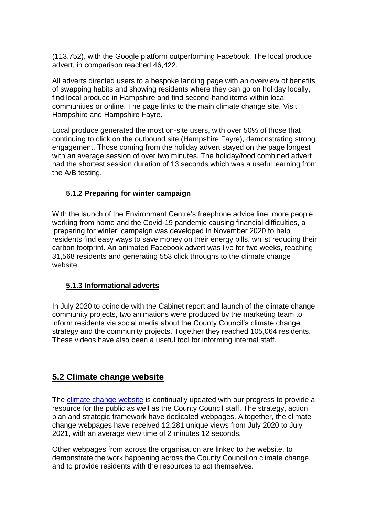(113,752), with the Google platform outperforming Facebook. The local produce advert, in comparison reached 46,422.

All adverts directed users to a bespoke landing page with an overview of benefits of swapping habits and showing residents where they can go on holiday locally, find local produce in Hampshire and find second-hand items within local communities or online. The page links to the main climate change site, Visit Hampshire and Hampshire Fayre.

Local produce generated the most on-site users, with over 50% of those that continuing to click on the outbound site (Hampshire Fayre), demonstrating strong engagement. Those coming from the holiday advert stayed on the page longest with an average session of over two minutes. The holiday/food combined advert had the shortest session duration of 13 seconds which was a useful learning from the A/B testing.

#### <span id="page-34-0"></span>**5.1.2 Preparing for winter campaign**

With the launch of the Environment Centre's freephone advice line, more people working from home and the Covid-19 pandemic causing financial difficulties, a 'preparing for winter' campaign was developed in November 2020 to help residents find easy ways to save money on their energy bills, whilst reducing their carbon footprint. An animated Facebook advert was live for two weeks, reaching 31,568 residents and generating 553 click throughs to the climate change website.

#### <span id="page-34-1"></span>**5.1.3 Informational adverts**

In July 2020 to coincide with the Cabinet report and launch of the climate change community projects, two animations were produced by the marketing team to inform residents via social media about the County Council's climate change strategy and the community projects. Together they reached 105,064 residents. These videos have also been a useful tool for informing internal staff.

## <span id="page-34-2"></span>**5.2 Climate change website**

The [climate change website](https://www.hants.gov.uk/landplanningandenvironment/environment/climatechange/whoweworkwith/climatechangeforumevent) is continually updated with our progress to provide a resource for the public as well as the County Council staff. The strategy, action plan and strategic framework have dedicated webpages. Altogether, the climate change webpages have received 12,281 unique views from July 2020 to July 2021, with an average view time of 2 minutes 12 seconds.

Other webpages from across the organisation are linked to the website, to demonstrate the work happening across the County Council on climate change, and to provide residents with the resources to act themselves.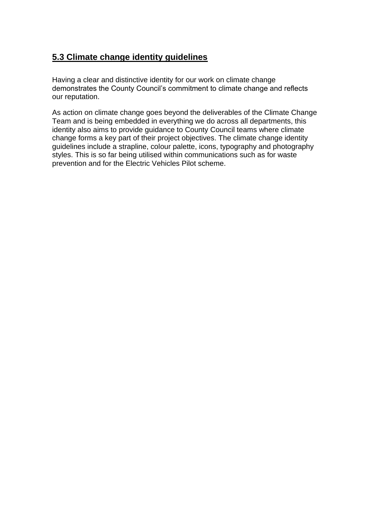# <span id="page-35-0"></span>**5.3 Climate change identity guidelines**

Having a clear and distinctive identity for our work on climate change demonstrates the County Council's commitment to climate change and reflects our reputation.

As action on climate change goes beyond the deliverables of the Climate Change Team and is being embedded in everything we do across all departments, this identity also aims to provide guidance to County Council teams where climate change forms a key part of their project objectives. The climate change identity guidelines include a strapline, colour palette, icons, typography and photography styles. This is so far being utilised within communications such as for waste prevention and for the Electric Vehicles Pilot scheme.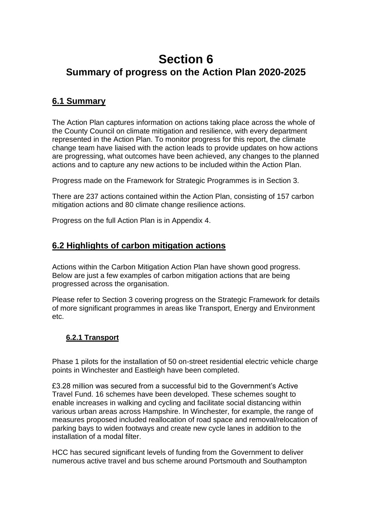# <span id="page-36-1"></span><span id="page-36-0"></span>**Section 6 Summary of progress on the Action Plan 2020-2025**

## <span id="page-36-2"></span>**6.1 Summary**

The Action Plan captures information on actions taking place across the whole of the County Council on climate mitigation and resilience, with every department represented in the Action Plan. To monitor progress for this report, the climate change team have liaised with the action leads to provide updates on how actions are progressing, what outcomes have been achieved, any changes to the planned actions and to capture any new actions to be included within the Action Plan.

Progress made on the Framework for Strategic Programmes is in Section 3.

There are 237 actions contained within the Action Plan, consisting of 157 carbon mitigation actions and 80 climate change resilience actions.

Progress on the full Action Plan is in Appendix 4.

## <span id="page-36-3"></span>**6.2 Highlights of carbon mitigation actions**

Actions within the Carbon Mitigation Action Plan have shown good progress. Below are just a few examples of carbon mitigation actions that are being progressed across the organisation.

Please refer to Section 3 covering progress on the Strategic Framework for details of more significant programmes in areas like Transport, Energy and Environment etc.

#### <span id="page-36-4"></span>**6.2.1 Transport**

Phase 1 pilots for the installation of 50 on-street residential electric vehicle charge points in Winchester and Eastleigh have been completed.

£3.28 million was secured from a successful bid to the Government's Active Travel Fund. 16 schemes have been developed. These schemes sought to enable increases in walking and cycling and facilitate social distancing within various urban areas across Hampshire. In Winchester, for example, the range of measures proposed included reallocation of road space and removal/relocation of parking bays to widen footways and create new cycle lanes in addition to the installation of a modal filter.

HCC has secured significant levels of funding from the Government to deliver numerous active travel and bus scheme around Portsmouth and Southampton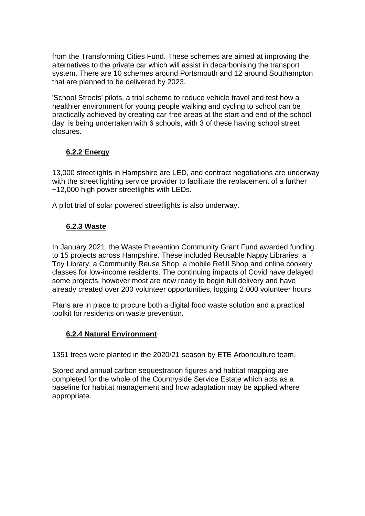from the Transforming Cities Fund. These schemes are aimed at improving the alternatives to the private car which will assist in decarbonising the transport system. There are 10 schemes around Portsmouth and 12 around Southampton that are planned to be delivered by 2023.

'School Streets' pilots, a trial scheme to reduce vehicle travel and test how a healthier environment for young people walking and cycling to school can be practically achieved by creating car-free areas at the start and end of the school day, is being undertaken with 6 schools, with 3 of these having school street closures.

#### <span id="page-37-0"></span>**6.2.2 Energy**

13,000 streetlights in Hampshire are LED, and contract negotiations are underway with the street lighting service provider to facilitate the replacement of a further ~12,000 high power streetlights with LEDs.

<span id="page-37-1"></span>A pilot trial of solar powered streetlights is also underway.

#### **6.2.3 Waste**

In January 2021, the Waste Prevention Community Grant Fund awarded funding to 15 projects across Hampshire. These included Reusable Nappy Libraries, a Toy Library, a Community Reuse Shop, a mobile Refill Shop and online cookery classes for low-income residents. The continuing impacts of Covid have delayed some projects, however most are now ready to begin full delivery and have already created over 200 volunteer opportunities, logging 2,000 volunteer hours.

Plans are in place to procure both a digital food waste solution and a practical toolkit for residents on waste prevention.

#### <span id="page-37-2"></span>**6.2.4 Natural Environment**

1351 trees were planted in the 2020/21 season by ETE Arboriculture team.

<span id="page-37-3"></span>Stored and annual carbon sequestration figures and habitat mapping are completed for the whole of the Countryside Service Estate which acts as a baseline for habitat management and how adaptation may be applied where appropriate.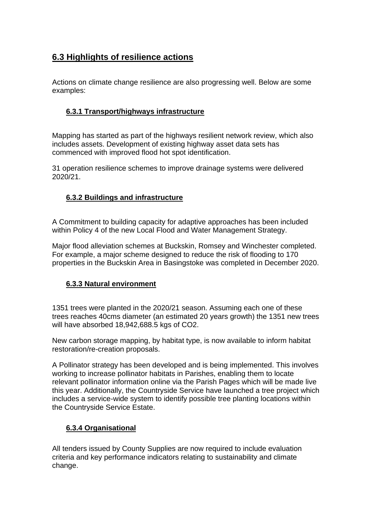# **6.3 Highlights of resilience actions**

Actions on climate change resilience are also progressing well. Below are some examples:

#### <span id="page-38-0"></span>**6.3.1 Transport/highways infrastructure**

Mapping has started as part of the highways resilient network review, which also includes assets. Development of existing highway asset data sets has commenced with improved flood hot spot identification.

31 operation resilience schemes to improve drainage systems were delivered 2020/21.

#### <span id="page-38-1"></span>**6.3.2 Buildings and infrastructure**

A Commitment to building capacity for adaptive approaches has been included within Policy 4 of the new Local Flood and Water Management Strategy.

Major flood alleviation schemes at Buckskin, Romsey and Winchester completed. For example, a major scheme designed to reduce the risk of flooding to 170 properties in the Buckskin Area in Basingstoke was completed in December 2020.

#### <span id="page-38-2"></span>**6.3.3 Natural environment**

1351 trees were planted in the 2020/21 season. Assuming each one of these trees reaches 40cms diameter (an estimated 20 years growth) the 1351 new trees will have absorbed 18,942,688.5 kgs of CO2.

New carbon storage mapping, by habitat type, is now available to inform habitat restoration/re-creation proposals.

A Pollinator strategy has been developed and is being implemented. This involves working to increase pollinator habitats in Parishes, enabling them to locate relevant pollinator information online via the Parish Pages which will be made live this year. Additionally, the Countryside Service have launched a tree project which includes a service-wide system to identify possible tree planting locations within the Countryside Service Estate.

#### <span id="page-38-3"></span>**6.3.4 Organisational**

All tenders issued by County Supplies are now required to include evaluation criteria and key performance indicators relating to sustainability and climate change.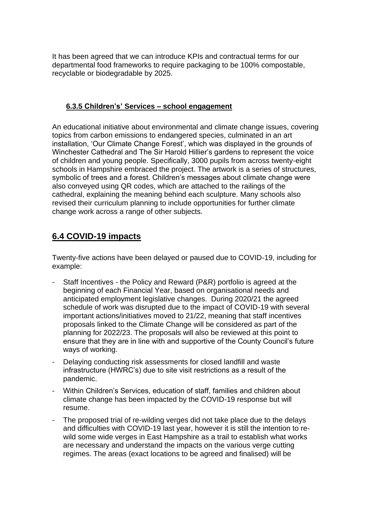It has been agreed that we can introduce KPIs and contractual terms for our departmental food frameworks to require packaging to be 100% compostable, recyclable or biodegradable by 2025.

#### <span id="page-39-0"></span>**6.3.5 Children's' Services – school engagement**

An educational initiative about environmental and climate change issues, covering topics from carbon emissions to endangered species, culminated in an art installation, 'Our Climate Change Forest', which was displayed in the grounds of Winchester Cathedral and The Sir Harold Hillier's gardens to represent the voice of children and young people. Specifically, 3000 pupils from across twenty-eight schools in Hampshire embraced the project. The artwork is a series of structures, symbolic of trees and a forest. Children's messages about climate change were also conveyed using QR codes, which are attached to the railings of the cathedral, explaining the meaning behind each sculpture. Many schools also revised their curriculum planning to include opportunities for further climate change work across a range of other subjects.

## <span id="page-39-1"></span>**6.4 COVID-19 impacts**

Twenty-five actions have been delayed or paused due to COVID-19, including for example:

- Staff Incentives the Policy and Reward (P&R) portfolio is agreed at the beginning of each Financial Year, based on organisational needs and anticipated employment legislative changes. During 2020/21 the agreed schedule of work was disrupted due to the impact of COVID-19 with several important actions/initiatives moved to 21/22, meaning that staff incentives proposals linked to the Climate Change will be considered as part of the planning for 2022/23. The proposals will also be reviewed at this point to ensure that they are in line with and supportive of the County Council's future ways of working.
- Delaying conducting risk assessments for closed landfill and waste infrastructure (HWRC's) due to site visit restrictions as a result of the pandemic.
- Within Children's Services, education of staff, families and children about climate change has been impacted by the COVID-19 response but will resume.
- The proposed trial of re-wilding verges did not take place due to the delays and difficulties with COVID-19 last year, however it is still the intention to rewild some wide verges in East Hampshire as a trail to establish what works are necessary and understand the impacts on the various verge cutting regimes. The areas (exact locations to be agreed and finalised) will be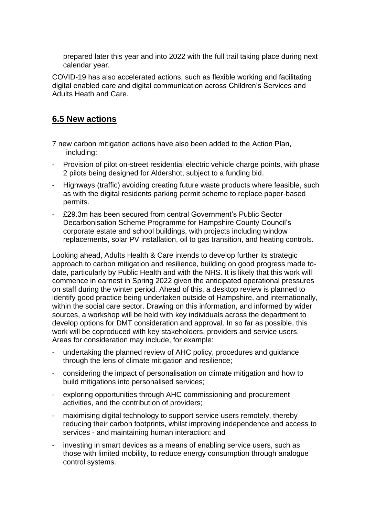prepared later this year and into 2022 with the full trail taking place during next calendar year.

COVID-19 has also accelerated actions, such as flexible working and facilitating digital enabled care and digital communication across Children's Services and Adults Heath and Care.

## <span id="page-40-0"></span>**6.5 New actions**

7 new carbon mitigation actions have also been added to the Action Plan, including:

- Provision of pilot on-street residential electric vehicle charge points, with phase 2 pilots being designed for Aldershot, subject to a funding bid.
- Highways (traffic) avoiding creating future waste products where feasible, such as with the digital residents parking permit scheme to replace paper-based permits.
- £29.3m has been secured from central Government's Public Sector Decarbonisation Scheme Programme for Hampshire County Council's corporate estate and school buildings, with projects including window replacements, solar PV installation, oil to gas transition, and heating controls.

Looking ahead, Adults Health & Care intends to develop further its strategic approach to carbon mitigation and resilience, building on good progress made todate, particularly by Public Health and with the NHS. It is likely that this work will commence in earnest in Spring 2022 given the anticipated operational pressures on staff during the winter period. Ahead of this, a desktop review is planned to identify good practice being undertaken outside of Hampshire, and internationally, within the social care sector. Drawing on this information, and informed by wider sources, a workshop will be held with key individuals across the department to develop options for DMT consideration and approval. In so far as possible, this work will be coproduced with key stakeholders, providers and service users. Areas for consideration may include, for example:

- undertaking the planned review of AHC policy, procedures and guidance through the lens of climate mitigation and resilience;
- considering the impact of personalisation on climate mitigation and how to build mitigations into personalised services;
- exploring opportunities through AHC commissioning and procurement activities, and the contribution of providers;
- maximising digital technology to support service users remotely, thereby reducing their carbon footprints, whilst improving independence and access to services - and maintaining human interaction; and
- investing in smart devices as a means of enabling service users, such as those with limited mobility, to reduce energy consumption through analogue control systems.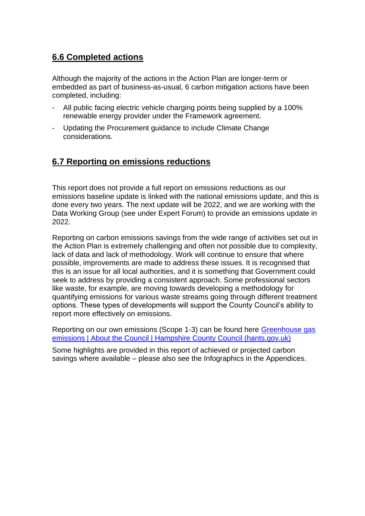# <span id="page-41-0"></span>**6.6 Completed actions**

Although the majority of the actions in the Action Plan are longer-term or embedded as part of business-as-usual, 6 carbon mitigation actions have been completed, including:

- All public facing electric vehicle charging points being supplied by a 100% renewable energy provider under the Framework agreement.
- Updating the Procurement guidance to include Climate Change considerations.

## <span id="page-41-1"></span>**6.7 Reporting on emissions reductions**

This report does not provide a full report on emissions reductions as our emissions baseline update is linked with the national emissions update, and this is done every two years. The next update will be 2022, and we are working with the Data Working Group (see under Expert Forum) to provide an emissions update in 2022.

Reporting on carbon emissions savings from the wide range of activities set out in the Action Plan is extremely challenging and often not possible due to complexity, lack of data and lack of methodology. Work will continue to ensure that where possible, improvements are made to address these issues. It is recognised that this is an issue for all local authorities, and it is something that Government could seek to address by providing a consistent approach. Some professional sectors like waste, for example, are moving towards developing a methodology for quantifying emissions for various waste streams going through different treatment options. These types of developments will support the County Council's ability to report more effectively on emissions.

Reporting on our own emissions (Scope 1-3) can be found here [Greenhouse gas](https://www.hants.gov.uk/aboutthecouncil/carbon-reduction/emissions-report)  [emissions | About the Council | Hampshire County Council \(hants.gov.uk\)](https://www.hants.gov.uk/aboutthecouncil/carbon-reduction/emissions-report)

Some highlights are provided in this report of achieved or projected carbon savings where available – please also see the Infographics in the Appendices.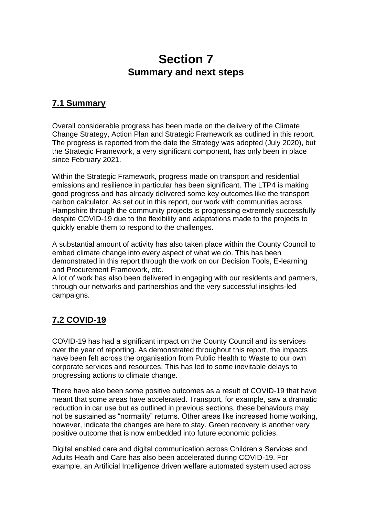# **Section 7 Summary and next steps**

# <span id="page-42-2"></span><span id="page-42-1"></span><span id="page-42-0"></span>**7.1 Summary**

Overall considerable progress has been made on the delivery of the Climate Change Strategy, Action Plan and Strategic Framework as outlined in this report. The progress is reported from the date the Strategy was adopted (July 2020), but the Strategic Framework, a very significant component, has only been in place since February 2021.

Within the Strategic Framework, progress made on transport and residential emissions and resilience in particular has been significant. The LTP4 is making good progress and has already delivered some key outcomes like the transport carbon calculator. As set out in this report, our work with communities across Hampshire through the community projects is progressing extremely successfully despite COVID-19 due to the flexibility and adaptations made to the projects to quickly enable them to respond to the challenges.

A substantial amount of activity has also taken place within the County Council to embed climate change into every aspect of what we do. This has been demonstrated in this report through the work on our Decision Tools, E-learning and Procurement Framework, etc.

A lot of work has also been delivered in engaging with our residents and partners, through our networks and partnerships and the very successful insights-led campaigns.

# <span id="page-42-3"></span>**7.2 COVID-19**

COVID-19 has had a significant impact on the County Council and its services over the year of reporting. As demonstrated throughout this report, the impacts have been felt across the organisation from Public Health to Waste to our own corporate services and resources. This has led to some inevitable delays to progressing actions to climate change.

There have also been some positive outcomes as a result of COVID-19 that have meant that some areas have accelerated. Transport, for example, saw a dramatic reduction in car use but as outlined in previous sections, these behaviours may not be sustained as "normality" returns. Other areas like increased home working, however, indicate the changes are here to stay. Green recovery is another very positive outcome that is now embedded into future economic policies.

Digital enabled care and digital communication across Children's Services and Adults Heath and Care has also been accelerated during COVID-19. For example, an Artificial Intelligence driven welfare automated system used across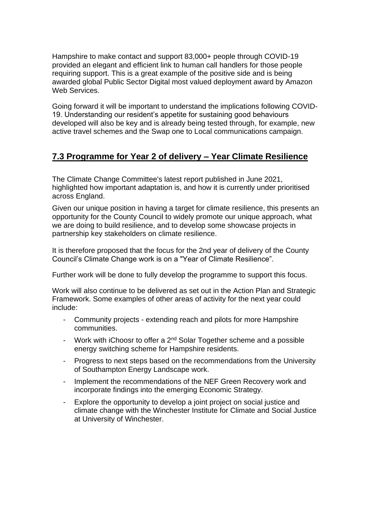Hampshire to make contact and support 83,000+ people through COVID-19 provided an elegant and efficient link to human call handlers for those people requiring support. This is a great example of the positive side and is being awarded global Public Sector Digital most valued deployment award by Amazon Web Services.

Going forward it will be important to understand the implications following COVID-19. Understanding our resident's appetite for sustaining good behaviours developed will also be key and is already being tested through, for example, new active travel schemes and the Swap one to Local communications campaign.

# <span id="page-43-0"></span>**7.3 Programme for Year 2 of delivery – Year Climate Resilience**

The Climate Change Committee's latest report published in June 2021, highlighted how important adaptation is, and how it is currently under prioritised across England.

Given our unique position in having a target for climate resilience, this presents an opportunity for the County Council to widely promote our unique approach, what we are doing to build resilience, and to develop some showcase projects in partnership key stakeholders on climate resilience.

It is therefore proposed that the focus for the 2nd year of delivery of the County Council's Climate Change work is on a "Year of Climate Resilience".

Further work will be done to fully develop the programme to support this focus.

Work will also continue to be delivered as set out in the Action Plan and Strategic Framework. Some examples of other areas of activity for the next year could include:

- Community projects extending reach and pilots for more Hampshire communities.
- Work with iChoosr to offer a 2<sup>nd</sup> Solar Together scheme and a possible energy switching scheme for Hampshire residents.
- Progress to next steps based on the recommendations from the University of Southampton Energy Landscape work.
- Implement the recommendations of the NEF Green Recovery work and incorporate findings into the emerging Economic Strategy.
- Explore the opportunity to develop a joint project on social justice and climate change with the Winchester Institute for Climate and Social Justice at University of Winchester.